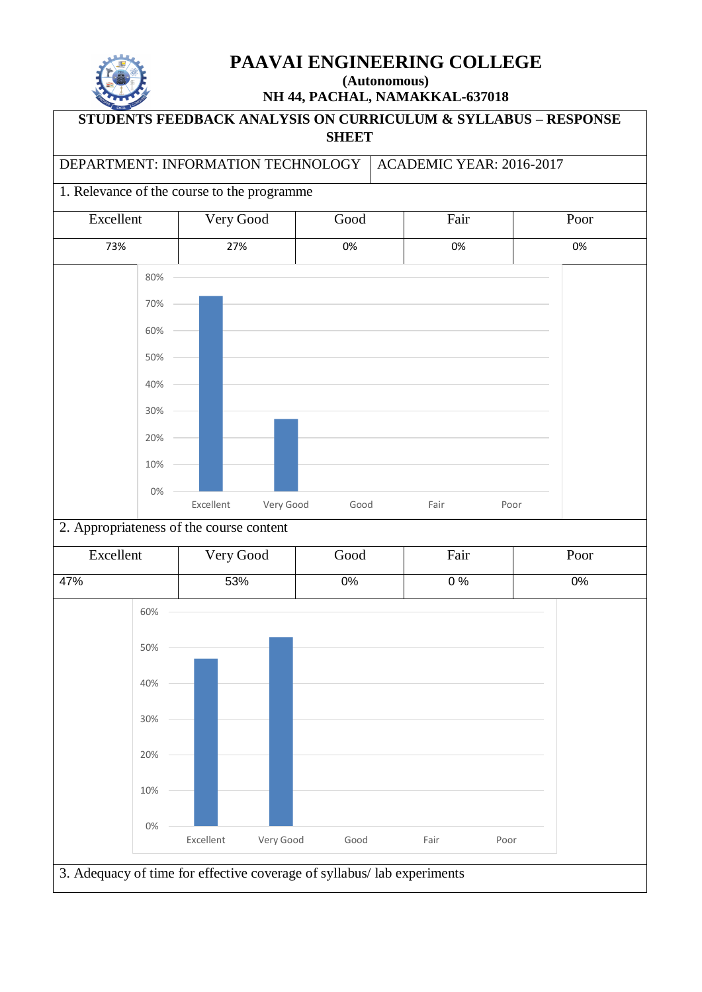

## **PAAVAI ENGINEERING COLLEGE**

**(Autonomous) NH 44, PACHAL, NAMAKKAL-637018**

# **STUDENTS FEEDBACK ANALYSIS ON CURRICULUM & SYLLABUS – RESPONSE SHEET** DEPARTMENT: INFORMATION TECHNOLOGY | ACADEMIC YEAR: 2016-2017 1. Relevance of the course to the programme Excellent Very Good Good Fair Poor 73% 27% 0% 0% 0% 2. Appropriateness of the course content Excellent Very Good Good Fair Poor 47% 53% 0% 0 % 0% 0% 10% 20% 30% 40% 50% 60% 70% 80% Excellent Very Good Good Fair Poor 0% 10% 20% 30% 40% 50% 60% Excellent Very Good Good Fair Poor

3. Adequacy of time for effective coverage of syllabus/ lab experiments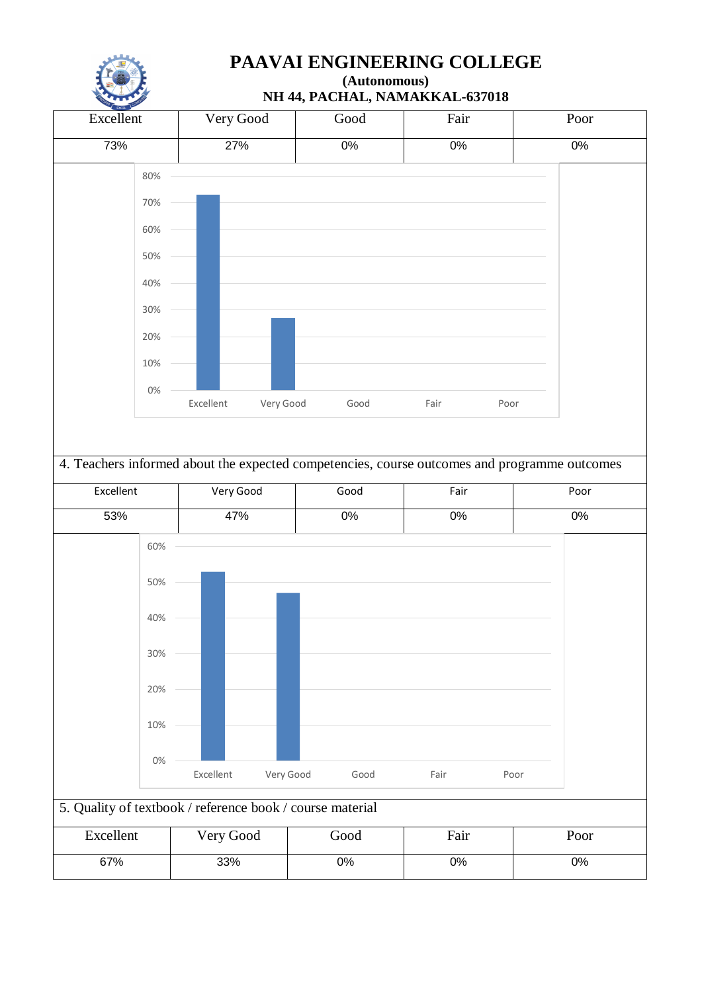

## **PAAVAI ENGINEERING COLLEGE**

**(Autonomous) NH 44, PACHAL, NAMAKKAL-637018**

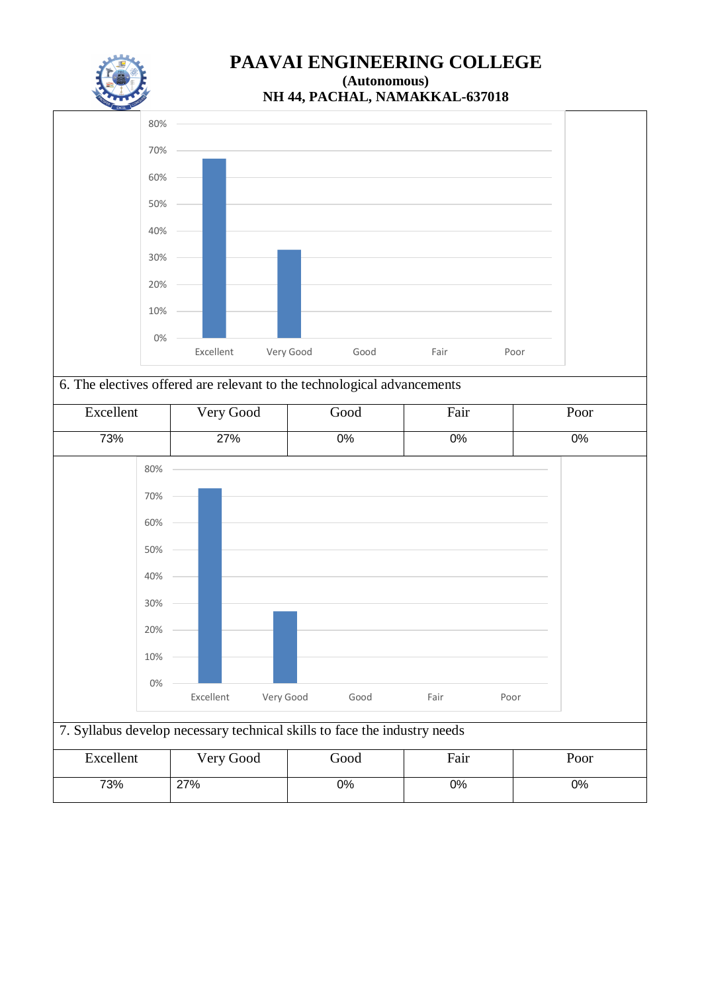



6. The electives offered are relevant to the technological advancements



| Excellent | Very Good | Good | Fair | Poor |
|-----------|-----------|------|------|------|
| 73%       | 27%       | 0%   | 0%   | 0%   |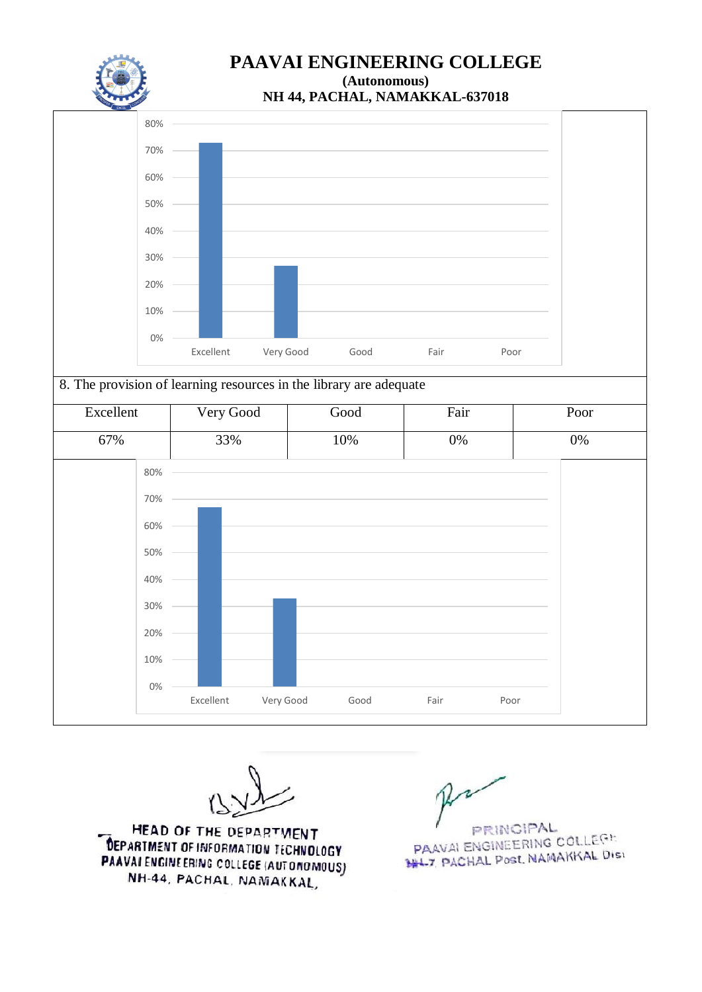

**NH 44, PACHAL, NAMAKKAL-637018**



8. The provision of learning resources in the library are adequate Excellent Very Good Good Fair Poor 50% 60% 70% 80%

67% 33% 10% 0% 0% 0% 10% 20% 30% 40% Excellent Very Good Good Fair Poor

HEAD OF THE DEPARTMENT **DEPARTMENT OF INFORMATION TECHNOLOGY** PAAVAI ENGINEERING COLLEGE (AUTONOMOUS) NH-44, PACHAL, NAMAKKAL,

RINGIPAL PAAVALENGINEERING COLLEGE **PAAVALENGINGENING OCCUPATION**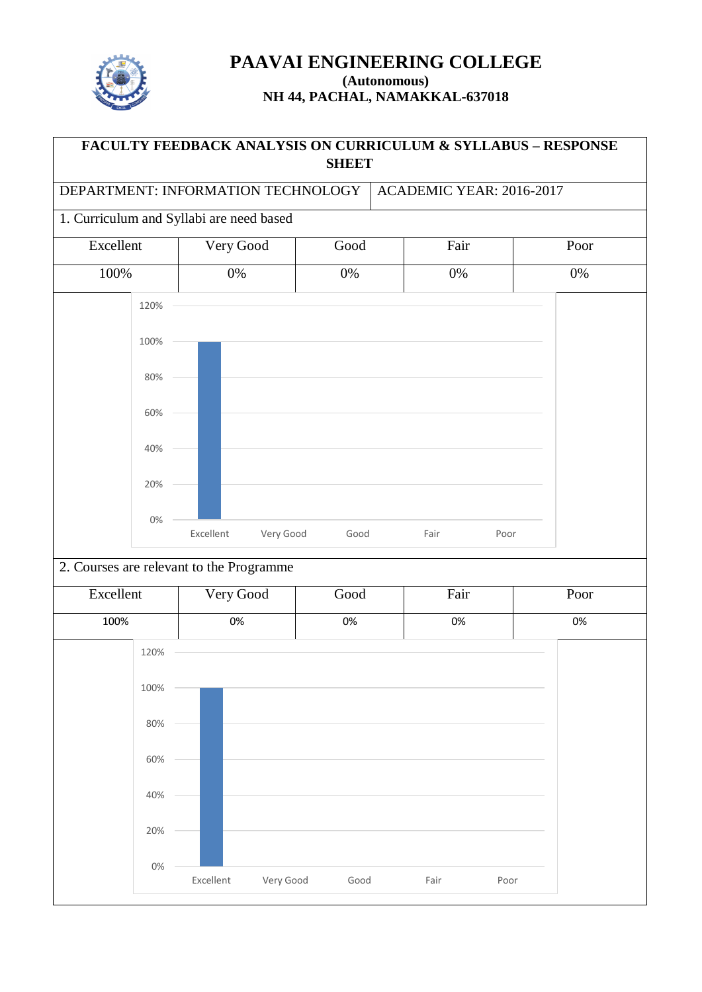

# **FACULTY FEEDBACK ANALYSIS ON CURRICULUM & SYLLABUS – RESPONSE SHEET** DEPARTMENT: INFORMATION TECHNOLOGY | ACADEMIC YEAR: 2016-2017 1. Curriculum and Syllabi are need based Excellent Very Good Good Fair Poor 100% 0% 0% 0% 0% 2. Courses are relevant to the Programme Excellent Very Good Good Fair Poor 100% 0% 0% 0% 0% 0% 20% 40% 60% 80% 100% 120% Excellent Very Good Good Fair Poor 0% 20% 40% 60% 80% 100% 120% Excellent Very Good Good Fair Poor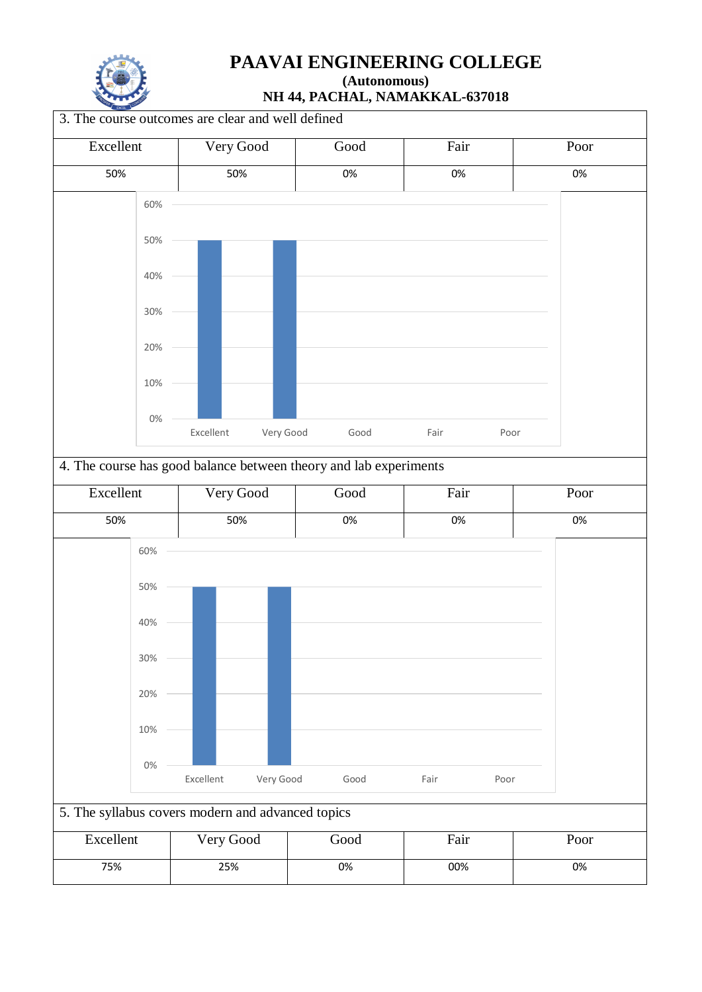

**NH 44, PACHAL, NAMAKKAL-637018**

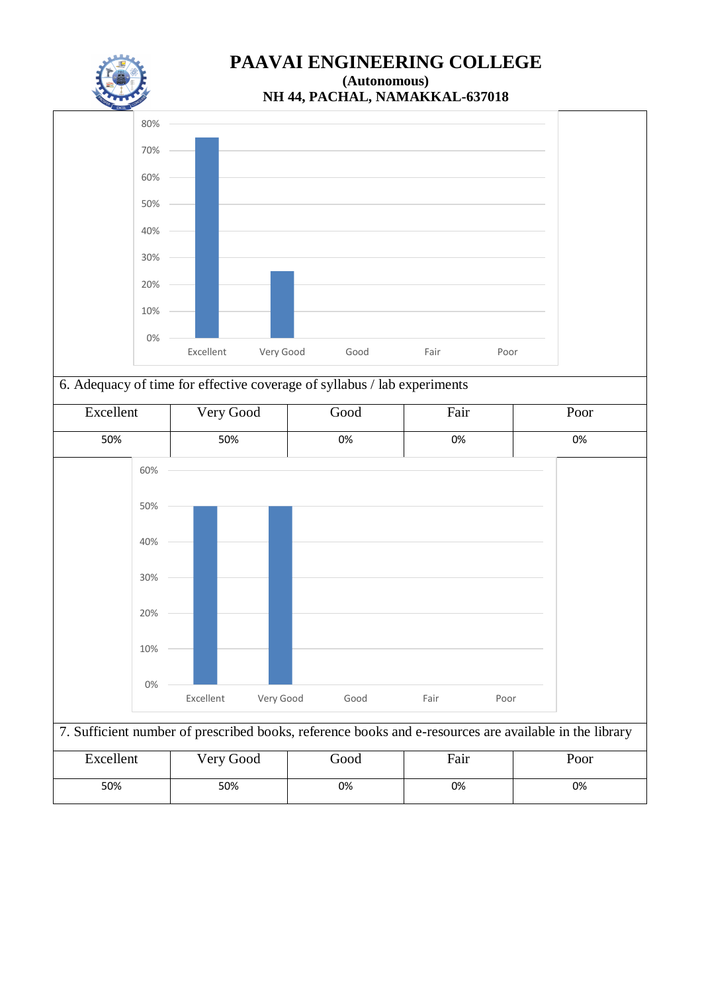





## 6. Adequacy of time for effective coverage of syllabus / lab experiments



## 7. Sufficient number of prescribed books, reference books and e-resources are available in the library

| Excellent | Very Good | Good | Fair | Poor |
|-----------|-----------|------|------|------|
| 50%       | 50%       | 0%   | 0%   | 0%   |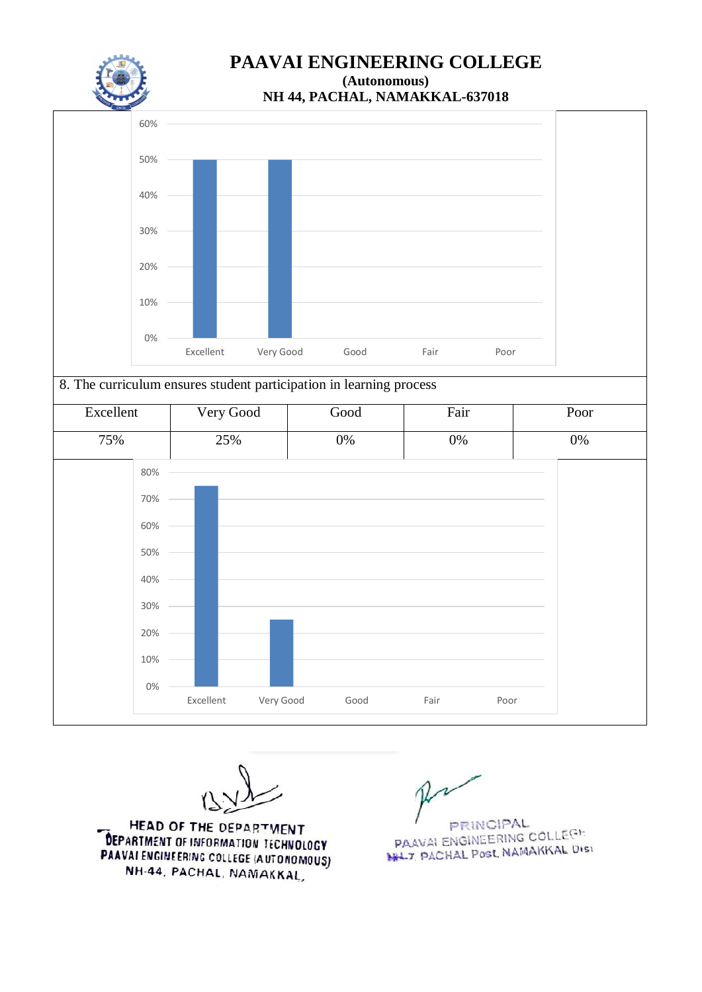



8. The curriculum ensures student participation in learning process

| Excellent | Very Good |           | Good  | Fair  |      | Poor  |
|-----------|-----------|-----------|-------|-------|------|-------|
| 75%       | 25%       |           | $0\%$ | $0\%$ |      | $0\%$ |
| 80%       |           |           |       |       |      |       |
| 70%       |           |           |       |       |      |       |
| 60%       |           |           |       |       |      |       |
| 50%       |           |           |       |       |      |       |
| 40%       |           |           |       |       |      |       |
| 30%       |           |           |       |       |      |       |
| 20%       |           |           |       |       |      |       |
| 10%       |           |           |       |       |      |       |
| $0\%$     | Excellent | Very Good | Good  | Fair  | Poor |       |

HEAD OF THE DEPARTMENT **DEPARTMENT OF INFORMATION TECHNOLOGY** PAAVAI ENGINEERING COLLEGE (AUTONOMOUS) NH-44, PACHAL, NAMAKKAL,

**PRINCIPAL** PRINCIPAL<br>PAAVALENGINEERING COLLEGE PAAVALENGINEERING COLLET.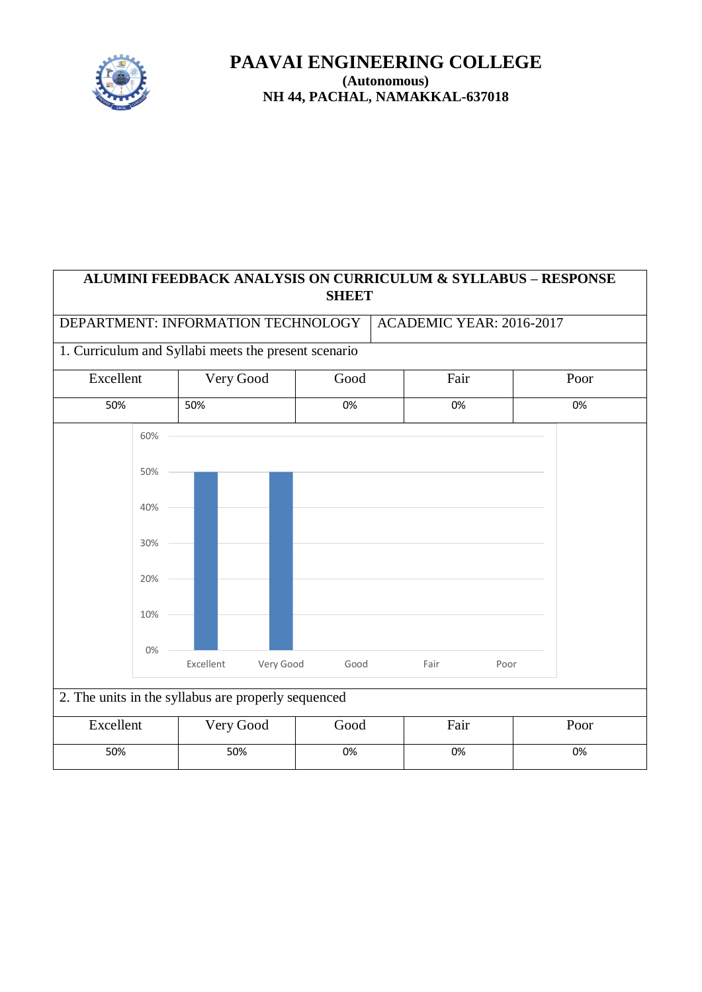

## **ALUMINI FEEDBACK ANALYSIS ON CURRICULUM & SYLLABUS – RESPONSE SHEET**

## DEPARTMENT: INFORMATION TECHNOLOGY | ACADEMIC YEAR: 2016-2017

## 1. Curriculum and Syllabi meets the present scenario

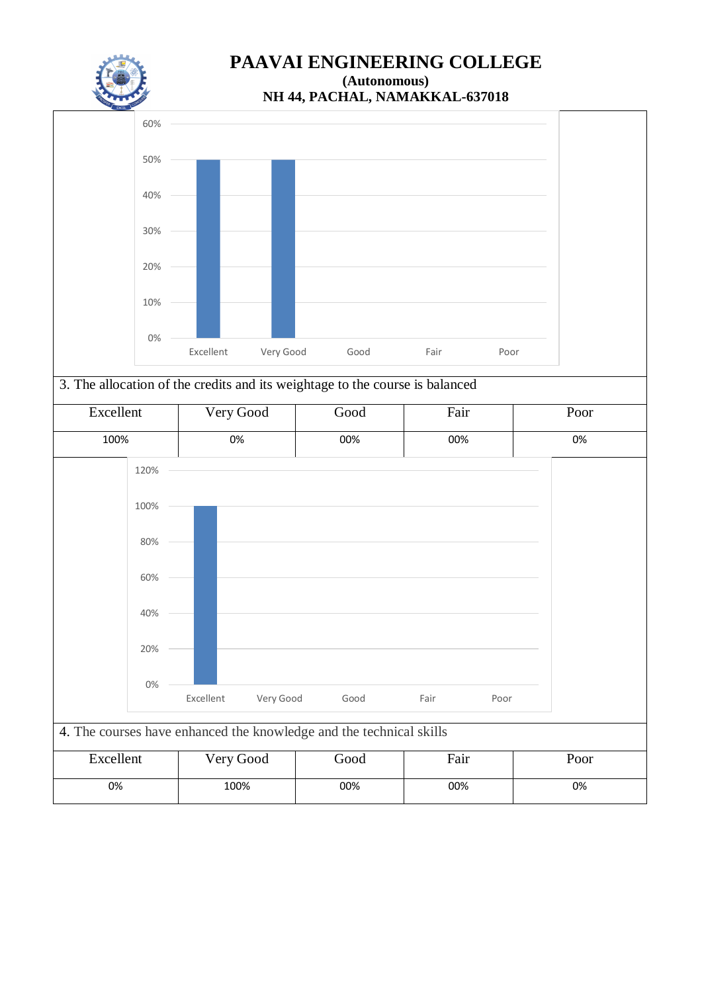



## 3. The allocation of the credits and its weightage to the course is balanced

| Excellent                                                           | Very Good              | Good | Fair | Poor |
|---------------------------------------------------------------------|------------------------|------|------|------|
| 100%                                                                | 0%                     | 00%  | 00%  | 0%   |
| 120%                                                                |                        |      |      |      |
| 100%                                                                |                        |      |      |      |
| 80%                                                                 |                        |      |      |      |
| 60%                                                                 |                        |      |      |      |
| 40%                                                                 |                        |      |      |      |
| 20%                                                                 |                        |      |      |      |
| $0\%$                                                               | Excellent<br>Very Good | Good | Fair |      |
| 4. The courses have enhanced the knowledge and the technical skills |                        |      | Poor |      |

| Excellent | Very Good | boot | Fair | Poor |
|-----------|-----------|------|------|------|
| 0%        | 100%      | 00%  | 00%  | 0%   |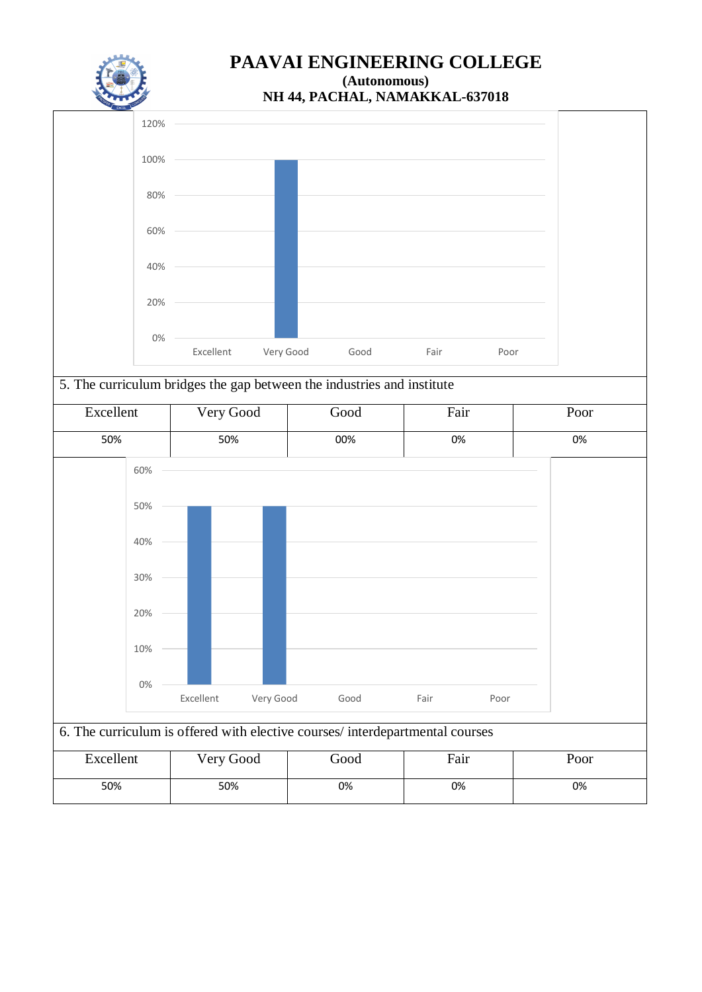

**NH 44, PACHAL, NAMAKKAL-637018**



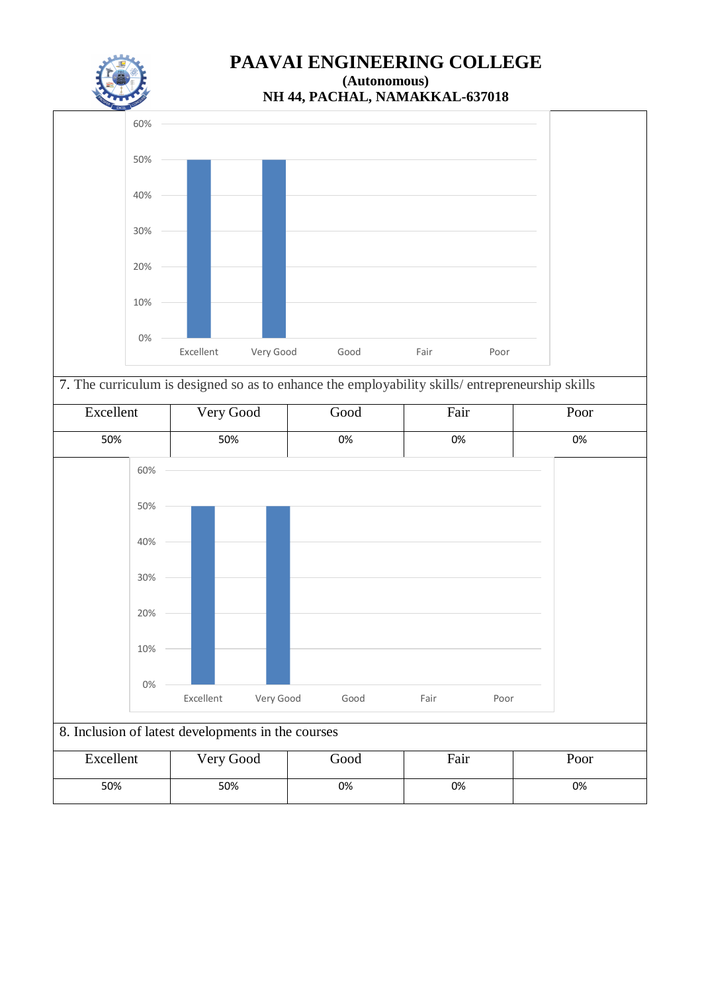



7. The curriculum is designed so as to enhance the employability skills/ entrepreneurship skills

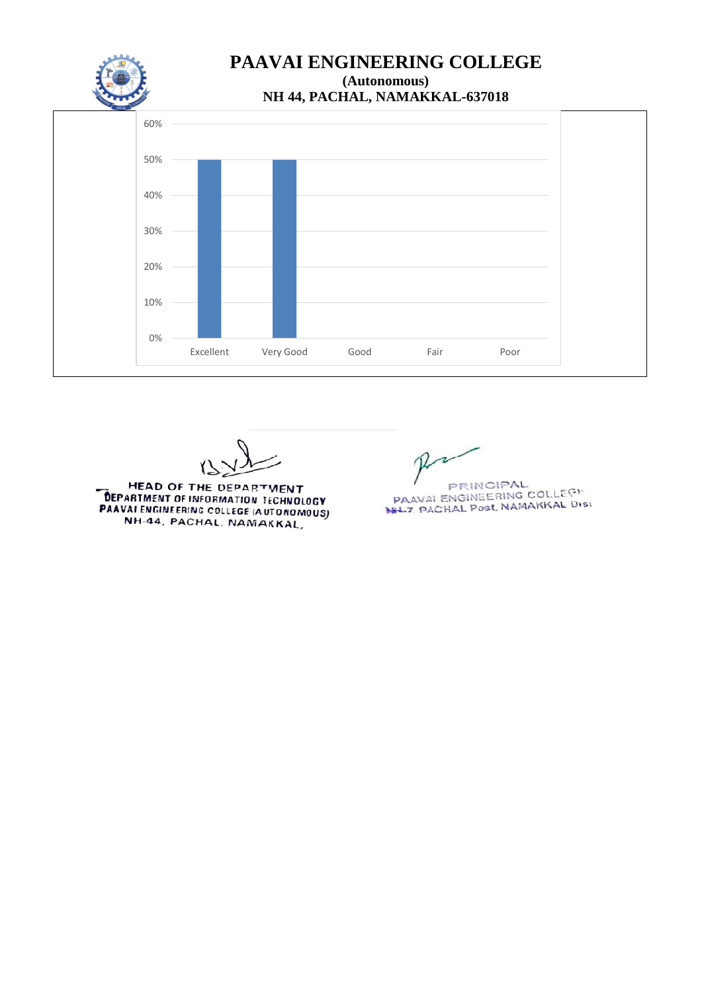



HEAD OF THE DEPARTMENT **DEPARTMENT OF THE DEPARTMENT<br>DEPARTMENT OF INFORMATION TECHNOLOGY PAAVALENGERING COLLEGE (AUTONOMOUS)** NH-44, PACHAL, NAMAKKAL,

PRINCIPAL<br>PAAVAI ENGINEERING COLLEGE<br>PHL7, PACHAL Post, NAMAKKAL DISI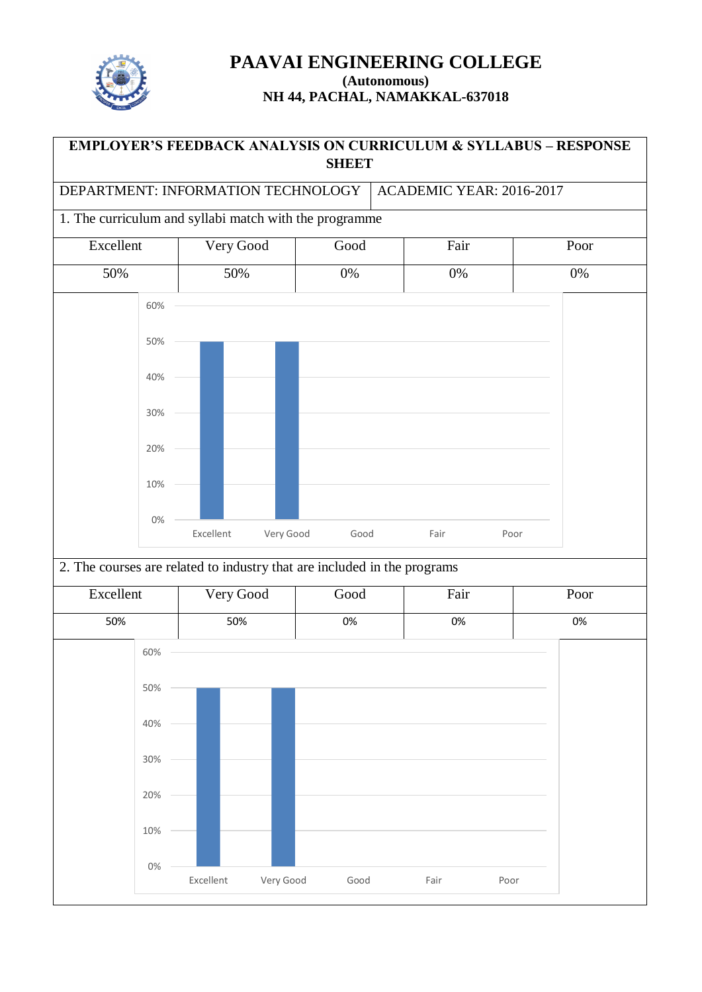

## **EMPLOYER'S FEEDBACK ANALYSIS ON CURRICULUM & SYLLABUS – RESPONSE SHEET**

DEPARTMENT: INFORMATION TECHNOLOGY | ACADEMIC YEAR: 2016-2017

## 1. The curriculum and syllabi match with the programme



#### 2. The courses are related to industry that are included in the programs

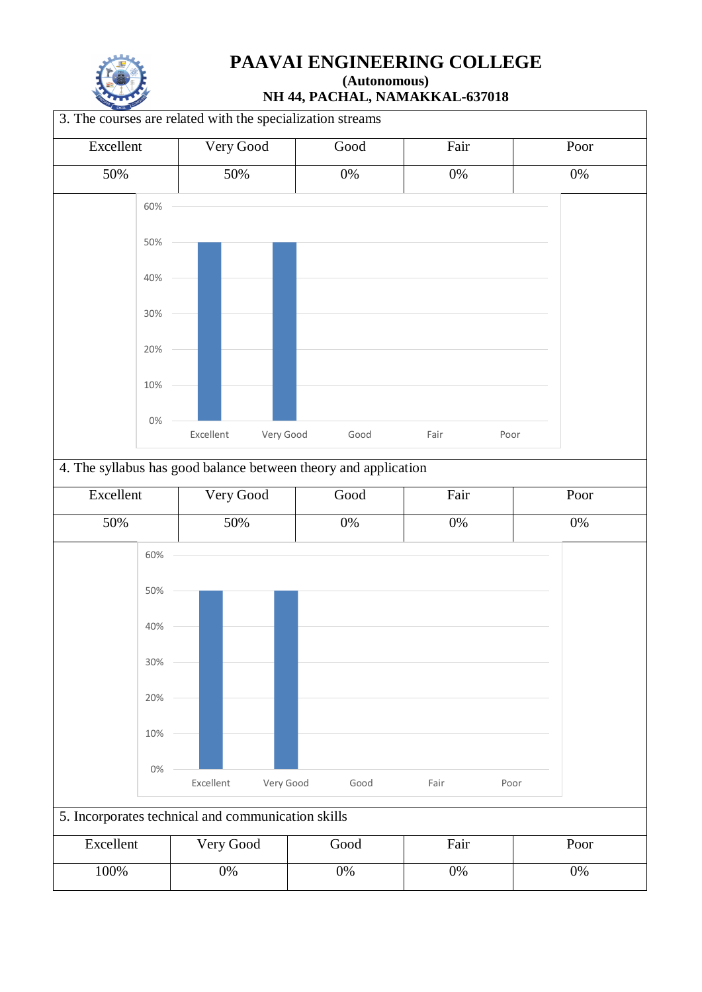

# **PAAVAI ENGINEERING COLLEGE**

**(Autonomous) NH 44, PACHAL, NAMAKKAL-637018**

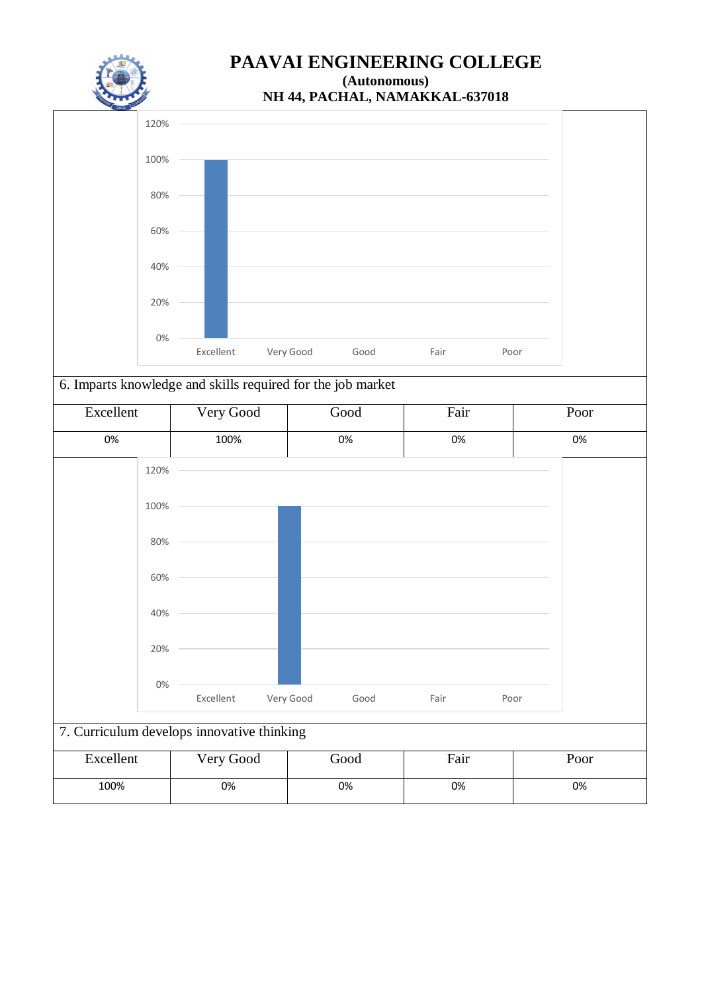

## **NH 44, PACHAL, NAMAKKAL-637018**



## 6. Imparts knowledge and skills required for the job market

| 100% | 0%                                                                   | 0%   |      | 0%   |
|------|----------------------------------------------------------------------|------|------|------|
|      |                                                                      |      |      |      |
|      |                                                                      |      |      |      |
|      |                                                                      |      |      |      |
|      |                                                                      |      |      |      |
|      |                                                                      |      |      |      |
|      |                                                                      |      |      |      |
|      |                                                                      |      |      |      |
|      |                                                                      |      |      |      |
|      | Excellent<br>Very Good<br>7. Curriculum develops innovative thinking | Good | Fair | Poor |

| Excellent | Very Good | Good | Fair | Poor |
|-----------|-----------|------|------|------|
| 100%      | 0%        | 0%   | 0%   | 0%   |